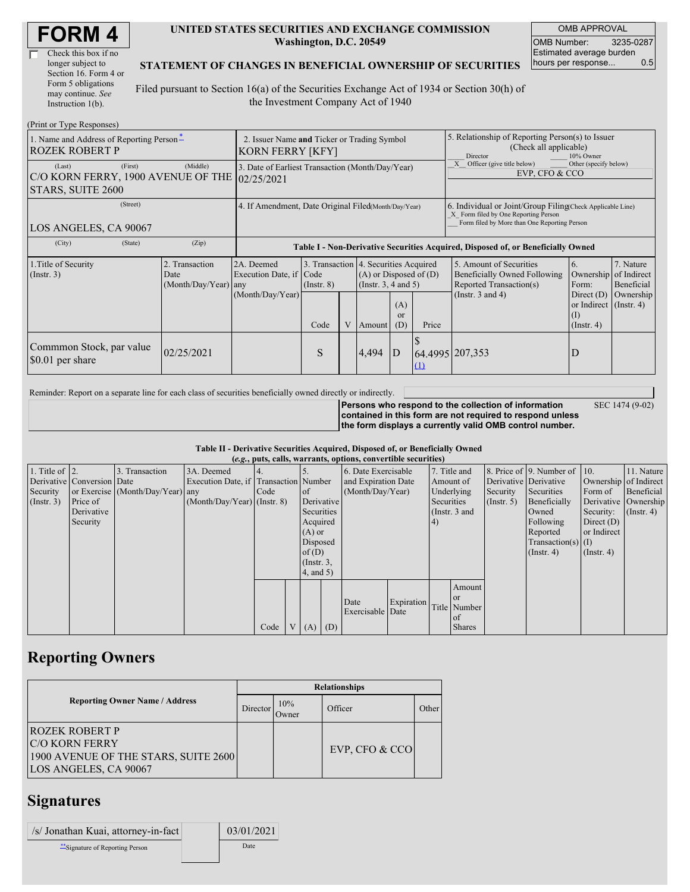| <b>FORM4</b> |
|--------------|
|--------------|

| Check this box if no  |  |
|-----------------------|--|
| longer subject to     |  |
| Section 16. Form 4 or |  |
| Form 5 obligations    |  |
| may continue. See     |  |
| Instruction $1(b)$ .  |  |

#### **UNITED STATES SECURITIES AND EXCHANGE COMMISSION Washington, D.C. 20549**

OMB APPROVAL OMB Number: 3235-0287 Estimated average burden hours per response... 0.5

#### **STATEMENT OF CHANGES IN BENEFICIAL OWNERSHIP OF SECURITIES**

Filed pursuant to Section 16(a) of the Securities Exchange Act of 1934 or Section 30(h) of the Investment Company Act of 1940

| (Print or Type Responses)                                                    |                                                                                  |                                                                  |                 |   |        |                                                                                                        |                                                                                                                                                    |                                                                                                                                                                |                  |                                                                               |
|------------------------------------------------------------------------------|----------------------------------------------------------------------------------|------------------------------------------------------------------|-----------------|---|--------|--------------------------------------------------------------------------------------------------------|----------------------------------------------------------------------------------------------------------------------------------------------------|----------------------------------------------------------------------------------------------------------------------------------------------------------------|------------------|-------------------------------------------------------------------------------|
| 1. Name and Address of Reporting Person-<br><b>ROZEK ROBERT P</b>            | 2. Issuer Name and Ticker or Trading Symbol<br><b>KORN FERRY [KFY]</b>           |                                                                  |                 |   |        |                                                                                                        | 5. Relationship of Reporting Person(s) to Issuer<br>(Check all applicable)<br>10% Owner<br>Director                                                |                                                                                                                                                                |                  |                                                                               |
| (First)<br>(Last)<br>C/O KORN FERRY, 1900 AVENUE OF THE<br>STARS, SUITE 2600 | 3. Date of Earliest Transaction (Month/Day/Year)<br>02/25/2021                   |                                                                  |                 |   |        |                                                                                                        | Other (specify below)<br>Officer (give title below)<br>EVP, CFO & CCO                                                                              |                                                                                                                                                                |                  |                                                                               |
| (Street)<br>LOS ANGELES, CA 90067                                            | 4. If Amendment, Date Original Filed(Month/Day/Year)                             |                                                                  |                 |   |        |                                                                                                        | 6. Individual or Joint/Group Filing Check Applicable Line)<br>X Form filed by One Reporting Person<br>Form filed by More than One Reporting Person |                                                                                                                                                                |                  |                                                                               |
| (City)<br>(State)                                                            | Table I - Non-Derivative Securities Acquired, Disposed of, or Beneficially Owned |                                                                  |                 |   |        |                                                                                                        |                                                                                                                                                    |                                                                                                                                                                |                  |                                                                               |
| 1. Title of Security<br>(Insert. 3)                                          | 2. Transaction<br>Date<br>(Month/Day/Year)                                       | 2A. Deemed<br>Execution Date, if Code<br>any<br>(Month/Day/Year) | $($ Instr. $8)$ |   |        | 3. Transaction 4. Securities Acquired<br>$(A)$ or Disposed of $(D)$<br>(Instr. $3, 4$ and $5$ )<br>(A) |                                                                                                                                                    | 5. Amount of Securities<br>6.<br><b>Beneficially Owned Following</b><br>Ownership<br>Reported Transaction(s)<br>Form:<br>(Instr. $3$ and $4$ )<br>Direct $(D)$ |                  | 7. Nature<br>of Indirect<br>Beneficial<br>Ownership<br>or Indirect (Instr. 4) |
|                                                                              |                                                                                  |                                                                  | Code            | V | Amount | <sub>or</sub><br>(D)                                                                                   | Price                                                                                                                                              |                                                                                                                                                                | $($ Instr. 4 $)$ |                                                                               |
| Commmon Stock, par value<br>\$0.01 per share                                 | 02/25/2021                                                                       |                                                                  | S               |   | 4,494  | ID                                                                                                     | $\Omega$                                                                                                                                           | 64.4995 207,353                                                                                                                                                | D                |                                                                               |

Reminder: Report on a separate line for each class of securities beneficially owned directly or indirectly.

**Persons who respond to the collection of information contained in this form are not required to respond unless the form displays a currently valid OMB control number.** SEC 1474 (9-02)

**Table II - Derivative Securities Acquired, Disposed of, or Beneficially Owned (***e.g.***, puts, calls, warrants, options, convertible securities)**

|                        | $(0.8)$ pais, cans, was randed operated, convertible securities, |                                  |                                       |      |  |                 |     |                     |            |    |               |                       |                              |                       |               |
|------------------------|------------------------------------------------------------------|----------------------------------|---------------------------------------|------|--|-----------------|-----|---------------------|------------|----|---------------|-----------------------|------------------------------|-----------------------|---------------|
| 1. Title of $\vert$ 2. |                                                                  | 3. Transaction                   | 3A. Deemed                            | 4.   |  |                 |     | 6. Date Exercisable |            |    | 7. Title and  |                       | 8. Price of 9. Number of 10. |                       | 11. Nature    |
|                        | Derivative Conversion Date                                       |                                  | Execution Date, if Transaction Number |      |  |                 |     | and Expiration Date |            |    | Amount of     | Derivative Derivative |                              | Ownership of Indirect |               |
| Security               |                                                                  | or Exercise (Month/Day/Year) any |                                       | Code |  | of              |     | (Month/Day/Year)    |            |    | Underlying    | Security              | Securities                   | Form of               | Beneficial    |
| $($ Instr. 3 $)$       | Price of                                                         |                                  | $(Month/Day/Year)$ (Instr. 8)         |      |  | Derivative      |     |                     | Securities |    | $($ Instr. 5) | Beneficially          |                              | Derivative Ownership  |               |
|                        | Derivative                                                       |                                  |                                       |      |  | Securities      |     |                     |            |    | (Instr. 3 and |                       | Owned                        | Security:             | $($ Instr. 4) |
|                        | Security                                                         |                                  |                                       |      |  | Acquired        |     |                     |            | 4) |               |                       | Following                    | Direct $(D)$          |               |
|                        |                                                                  |                                  |                                       |      |  | $(A)$ or        |     |                     |            |    |               |                       | Reported                     | or Indirect           |               |
|                        |                                                                  |                                  |                                       |      |  | Disposed        |     |                     |            |    |               |                       | $Transaction(s)$ (I)         |                       |               |
|                        |                                                                  |                                  |                                       |      |  | of(D)           |     |                     |            |    |               |                       | $($ Instr. 4)                | $($ Instr. 4 $)$      |               |
|                        |                                                                  |                                  |                                       |      |  | $($ Instr. $3,$ |     |                     |            |    |               |                       |                              |                       |               |
|                        |                                                                  |                                  |                                       |      |  | $4$ , and $5$ ) |     |                     |            |    |               |                       |                              |                       |               |
|                        |                                                                  |                                  |                                       |      |  |                 |     |                     |            |    | Amount        |                       |                              |                       |               |
|                        |                                                                  |                                  |                                       |      |  |                 |     |                     |            |    | <sub>or</sub> |                       |                              |                       |               |
|                        |                                                                  |                                  |                                       |      |  |                 |     | Date                | Expiration |    | Title Number  |                       |                              |                       |               |
|                        |                                                                  |                                  |                                       |      |  |                 |     | Exercisable Date    |            |    | of            |                       |                              |                       |               |
|                        |                                                                  |                                  |                                       | Code |  | V(A)            | (D) |                     |            |    | <b>Shares</b> |                       |                              |                       |               |
|                        |                                                                  |                                  |                                       |      |  |                 |     |                     |            |    |               |                       |                              |                       |               |

## **Reporting Owners**

|                                                                                                                  | <b>Relationships</b> |              |                  |       |  |  |  |  |
|------------------------------------------------------------------------------------------------------------------|----------------------|--------------|------------------|-------|--|--|--|--|
| <b>Reporting Owner Name / Address</b>                                                                            | Director             | 10%<br>Owner | Officer          | Other |  |  |  |  |
| <b>ROZEK ROBERT P</b><br><b>IC/O KORN FERRY</b><br>1900 AVENUE OF THE STARS, SUITE 2600<br>LOS ANGELES, CA 90067 |                      |              | EVP, CFO $&$ CCO |       |  |  |  |  |

## **Signatures**

| /s/ Jonathan Kuai, attorney-in-fact | 03/01/2021 |
|-------------------------------------|------------|
| ** Signature of Reporting Person    | Date       |